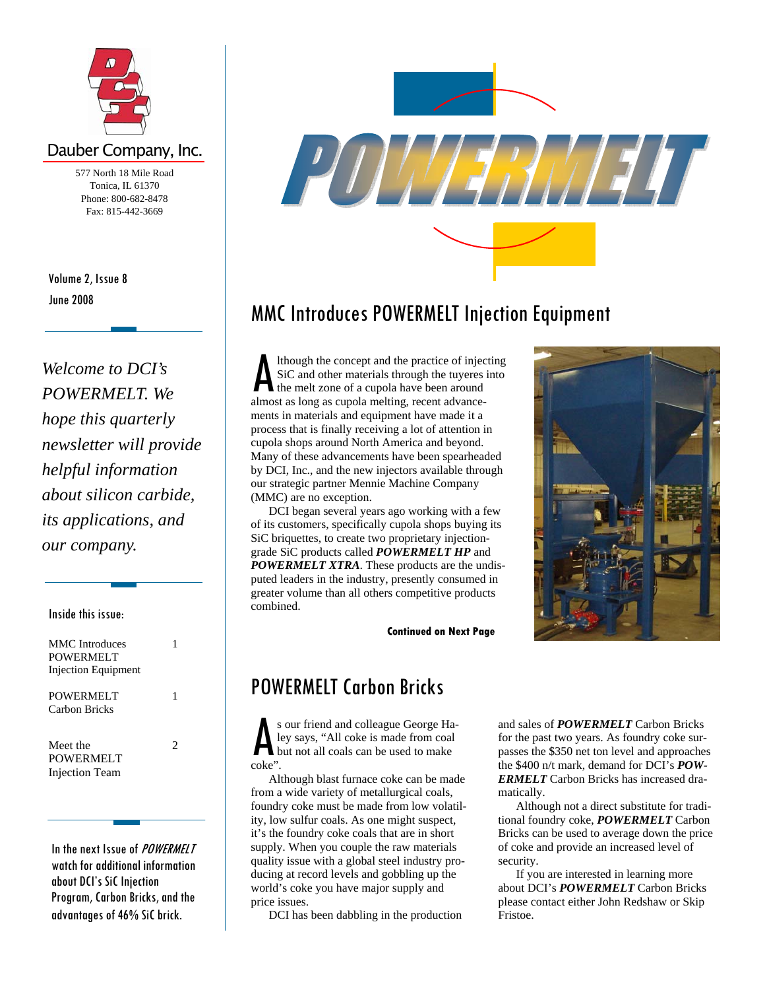

## Dauber Company, Inc.

577 North 18 Mile Road Tonica, IL 61370 Phone: 800-682-8478 Fax: 815-442-3669

June 2008 Volume 2, Issue 8

*Welcome to DCI's POWERMELT. We hope this quarterly newsletter will provide helpful information about silicon carbide, its applications, and our company.* 

### Inside this issue:

| MMC Introduces<br>POWERMELT<br>Injection Equipment |   |
|----------------------------------------------------|---|
| POWERMELT<br>Carbon Bricks                         |   |
| Meet the<br>POWERMELT<br>Injection Team            | 2 |

In the next Issue of *POWERMELT* watch for additional information about DCI's SiC Injection Program, Carbon Bricks, and the advantages of 46% SiC brick.



# MMC Introduces POWERMELT Injection Equipment

Ithough the concept and the practice of injecting SiC and other materials through the tuyeres into the melt zone of a cupola have been around almost as long as cupola melting, recent advancements in materials and equipment have made it a process that is finally receiving a lot of attention in cupola shops around North America and beyond. Many of these advancements have been spearheaded by DCI, Inc., and the new injectors available through our strategic partner Mennie Machine Company (MMC) are no exception.

 DCI began several years ago working with a few of its customers, specifically cupola shops buying its SiC briquettes, to create two proprietary injectiongrade SiC products called *POWERMELT HP* and *POWERMELT XTRA*. These products are the undisputed leaders in the industry, presently consumed in greater volume than all others competitive products combined.

**Continued on Next Page** 

## POWERMELT Carbon Bricks

S our friend and colleague George Ha-<br>ley says, "All coke is made from coal<br>but not all coals can be used to make<br>coke". ley says, "All coke is made from coal but not all coals can be used to make coke".

 Although blast furnace coke can be made from a wide variety of metallurgical coals, foundry coke must be made from low volatility, low sulfur coals. As one might suspect, it's the foundry coke coals that are in short supply. When you couple the raw materials quality issue with a global steel industry producing at record levels and gobbling up the world's coke you have major supply and price issues.

DCI has been dabbling in the production

and sales of *POWERMELT* Carbon Bricks for the past two years. As foundry coke surpasses the \$350 net ton level and approaches the \$400 n/t mark, demand for DCI's *POW-ERMELT* Carbon Bricks has increased dramatically.

 Although not a direct substitute for traditional foundry coke, *POWERMELT* Carbon Bricks can be used to average down the price of coke and provide an increased level of security.

 If you are interested in learning more about DCI's *POWERMELT* Carbon Bricks please contact either John Redshaw or Skip Fristoe.